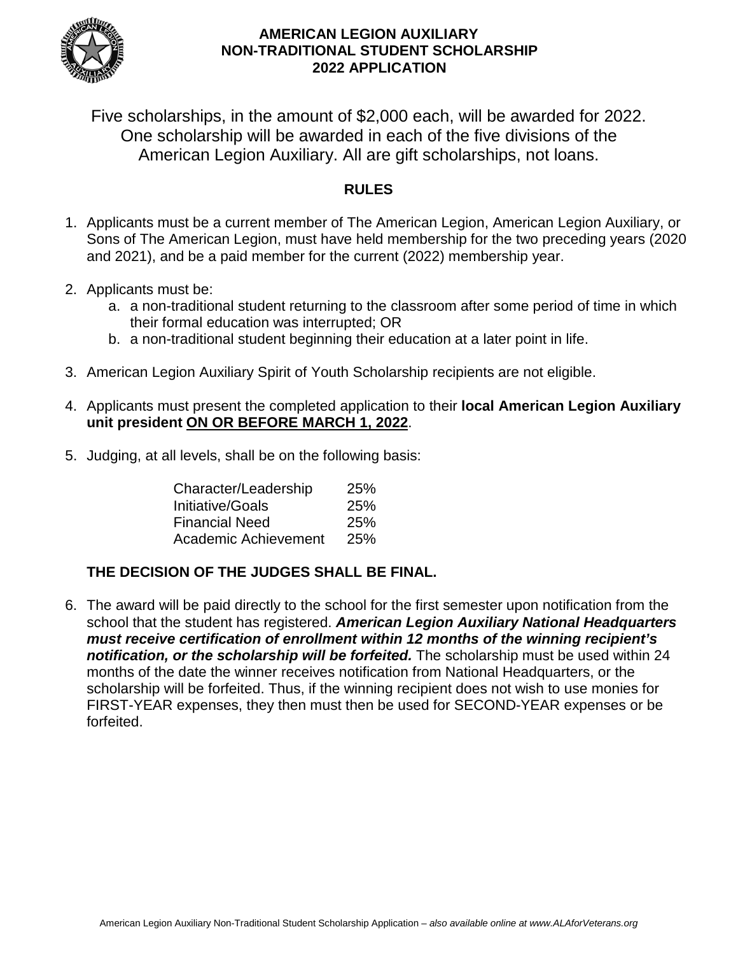

Five scholarships, in the amount of \$2,000 each, will be awarded for 2022. One scholarship will be awarded in each of the five divisions of the American Legion Auxiliary. All are gift scholarships, not loans.

## **RULES**

- 1. Applicants must be a current member of The American Legion, American Legion Auxiliary, or Sons of The American Legion, must have held membership for the two preceding years (2020 and 2021), and be a paid member for the current (2022) membership year.
- 2. Applicants must be:
	- a. a non-traditional student returning to the classroom after some period of time in which their formal education was interrupted; OR
	- b. a non-traditional student beginning their education at a later point in life.
- 3. American Legion Auxiliary Spirit of Youth Scholarship recipients are not eligible.
- 4. Applicants must present the completed application to their **local American Legion Auxiliary unit president ON OR BEFORE MARCH 1, 2022**.
- 5. Judging, at all levels, shall be on the following basis:

| Character/Leadership  | 25%        |
|-----------------------|------------|
| Initiative/Goals      | <b>25%</b> |
| <b>Financial Need</b> | 25%        |
| Academic Achievement  | <b>25%</b> |

### **THE DECISION OF THE JUDGES SHALL BE FINAL.**

6. The award will be paid directly to the school for the first semester upon notification from the school that the student has registered. *American Legion Auxiliary National Headquarters must receive certification of enrollment within 12 months of the winning recipient's notification, or the scholarship will be forfeited.* The scholarship must be used within 24 months of the date the winner receives notification from National Headquarters, or the scholarship will be forfeited. Thus, if the winning recipient does not wish to use monies for FIRST-YEAR expenses, they then must then be used for SECOND-YEAR expenses or be forfeited.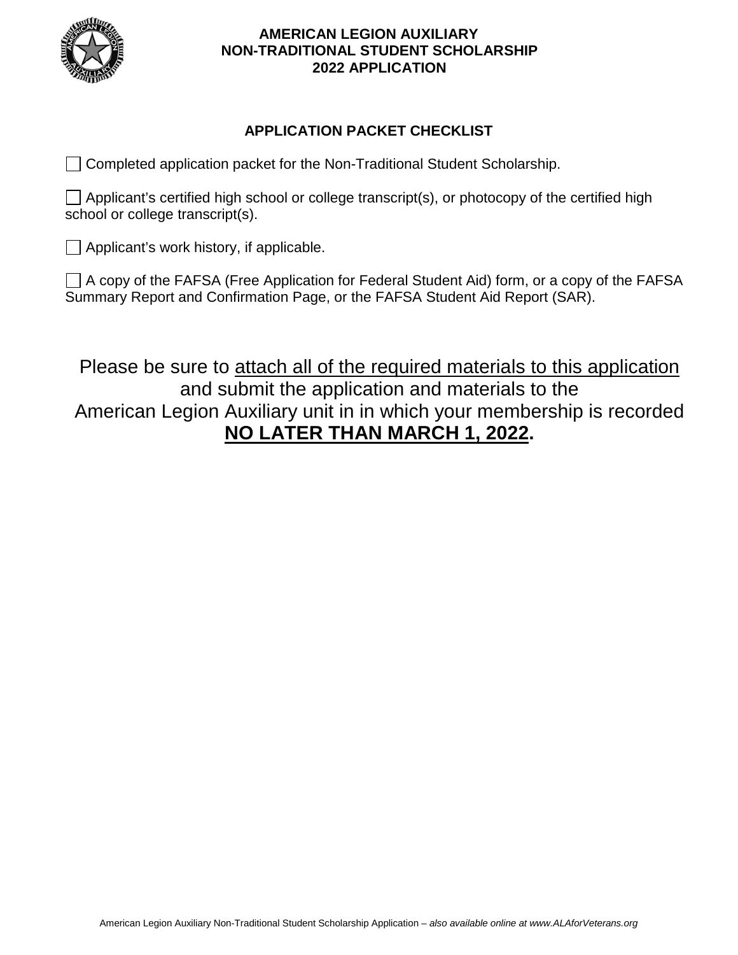

### **APPLICATION PACKET CHECKLIST**

Completed application packet for the Non-Traditional Student Scholarship.

 $\Box$  Applicant's certified high school or college transcript(s), or photocopy of the certified high school or college transcript(s).

 $\Box$  Applicant's work history, if applicable.

 $\Box$  A copy of the FAFSA (Free Application for Federal Student Aid) form, or a copy of the FAFSA Summary Report and Confirmation Page, or the FAFSA Student Aid Report (SAR).

Please be sure to attach all of the required materials to this application and submit the application and materials to the American Legion Auxiliary unit in in which your membership is recorded **NO LATER THAN MARCH 1, 2022.**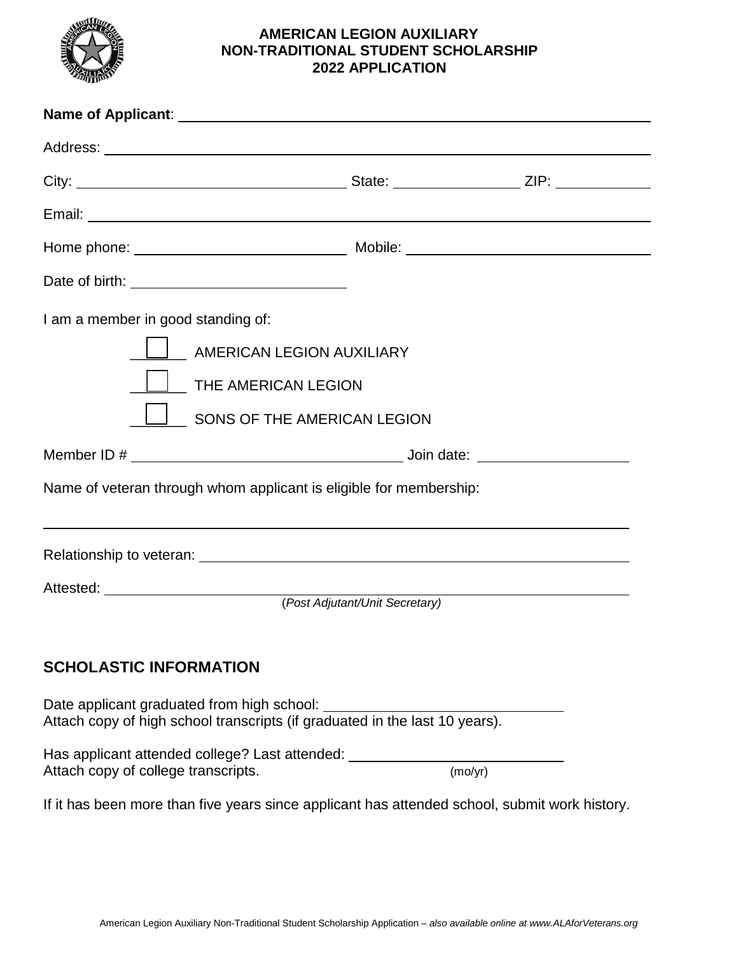

| Date of birth: <u>________________________________</u>                                                                       |                                |  |
|------------------------------------------------------------------------------------------------------------------------------|--------------------------------|--|
| I am a member in good standing of:<br>$\Box$ AMERICAN LEGION AUXILIARY<br>THE AMERICAN LEGION<br>SONS OF THE AMERICAN LEGION |                                |  |
| Name of veteran through whom applicant is eligible for membership:                                                           |                                |  |
|                                                                                                                              |                                |  |
|                                                                                                                              | (Post Adjutant/Unit Secretary) |  |
| <b>SCHOLASTIC INFORMATION</b>                                                                                                |                                |  |
| Date applicant graduated from high school:<br>Attach copy of high school transcripts (if graduated in the last 10 years).    |                                |  |
| Has applicant attended college? Last attended: ________<br>Attach copy of college transcripts.                               | (mo/yr)                        |  |

If it has been more than five years since applicant has attended school, submit work history.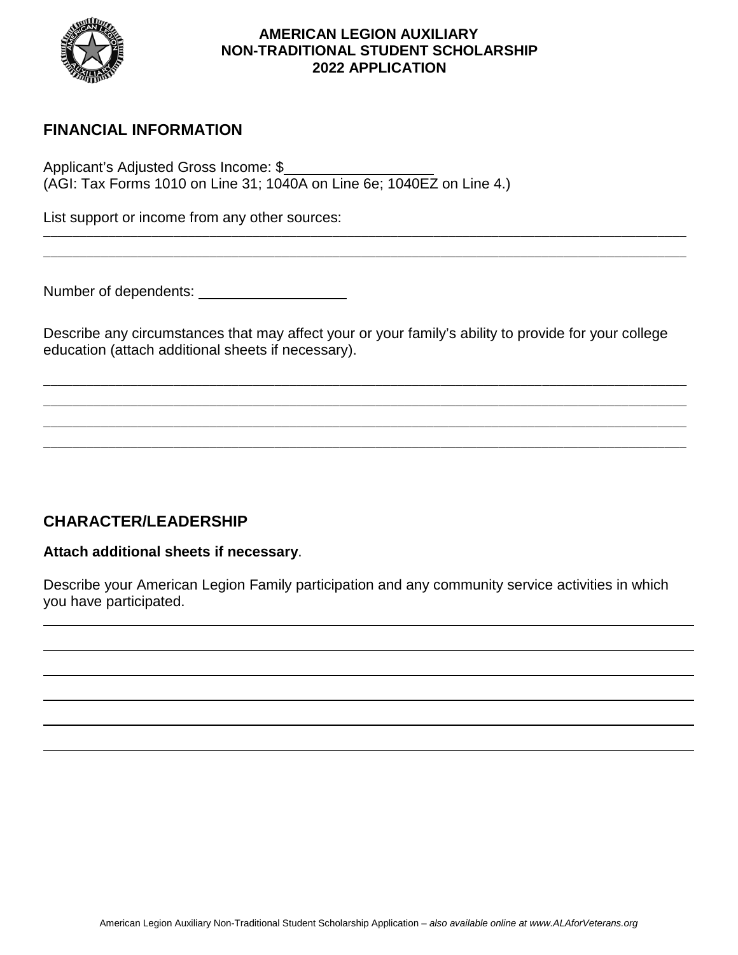

# **FINANCIAL INFORMATION**

Applicant's Adjusted Gross Income: \$ (AGI: Tax Forms 1010 on Line 31; 1040A on Line 6e; 1040EZ on Line 4.)

List support or income from any other sources:

Number of dependents:

Describe any circumstances that may affect your or your family's ability to provide for your college education (attach additional sheets if necessary).

\_\_\_\_\_\_\_\_\_\_\_\_\_\_\_\_\_\_\_\_\_\_\_\_\_\_\_\_\_\_\_\_\_\_\_\_\_\_\_\_\_\_\_\_\_\_\_\_\_\_\_\_\_\_\_\_\_\_\_\_\_\_\_\_\_\_\_\_\_\_\_\_\_\_\_\_\_\_\_\_\_\_\_\_\_\_\_\_\_ \_\_\_\_\_\_\_\_\_\_\_\_\_\_\_\_\_\_\_\_\_\_\_\_\_\_\_\_\_\_\_\_\_\_\_\_\_\_\_\_\_\_\_\_\_\_\_\_\_\_\_\_\_\_\_\_\_\_\_\_\_\_\_\_\_\_\_\_\_\_\_\_\_\_\_\_\_\_\_\_\_\_\_\_\_\_\_\_\_ \_\_\_\_\_\_\_\_\_\_\_\_\_\_\_\_\_\_\_\_\_\_\_\_\_\_\_\_\_\_\_\_\_\_\_\_\_\_\_\_\_\_\_\_\_\_\_\_\_\_\_\_\_\_\_\_\_\_\_\_\_\_\_\_\_\_\_\_\_\_\_\_\_\_\_\_\_\_\_\_\_\_\_\_\_\_\_\_\_ \_\_\_\_\_\_\_\_\_\_\_\_\_\_\_\_\_\_\_\_\_\_\_\_\_\_\_\_\_\_\_\_\_\_\_\_\_\_\_\_\_\_\_\_\_\_\_\_\_\_\_\_\_\_\_\_\_\_\_\_\_\_\_\_\_\_\_\_\_\_\_\_\_\_\_\_\_\_\_\_\_\_\_\_\_\_\_\_\_

\_\_\_\_\_\_\_\_\_\_\_\_\_\_\_\_\_\_\_\_\_\_\_\_\_\_\_\_\_\_\_\_\_\_\_\_\_\_\_\_\_\_\_\_\_\_\_\_\_\_\_\_\_\_\_\_\_\_\_\_\_\_\_\_\_\_\_\_\_\_\_\_\_\_\_\_\_\_\_\_\_\_\_\_\_\_\_\_\_ \_\_\_\_\_\_\_\_\_\_\_\_\_\_\_\_\_\_\_\_\_\_\_\_\_\_\_\_\_\_\_\_\_\_\_\_\_\_\_\_\_\_\_\_\_\_\_\_\_\_\_\_\_\_\_\_\_\_\_\_\_\_\_\_\_\_\_\_\_\_\_\_\_\_\_\_\_\_\_\_\_\_\_\_\_\_\_\_\_

# **CHARACTER/LEADERSHIP**

#### **Attach additional sheets if necessary**.

Describe your American Legion Family participation and any community service activities in which you have participated.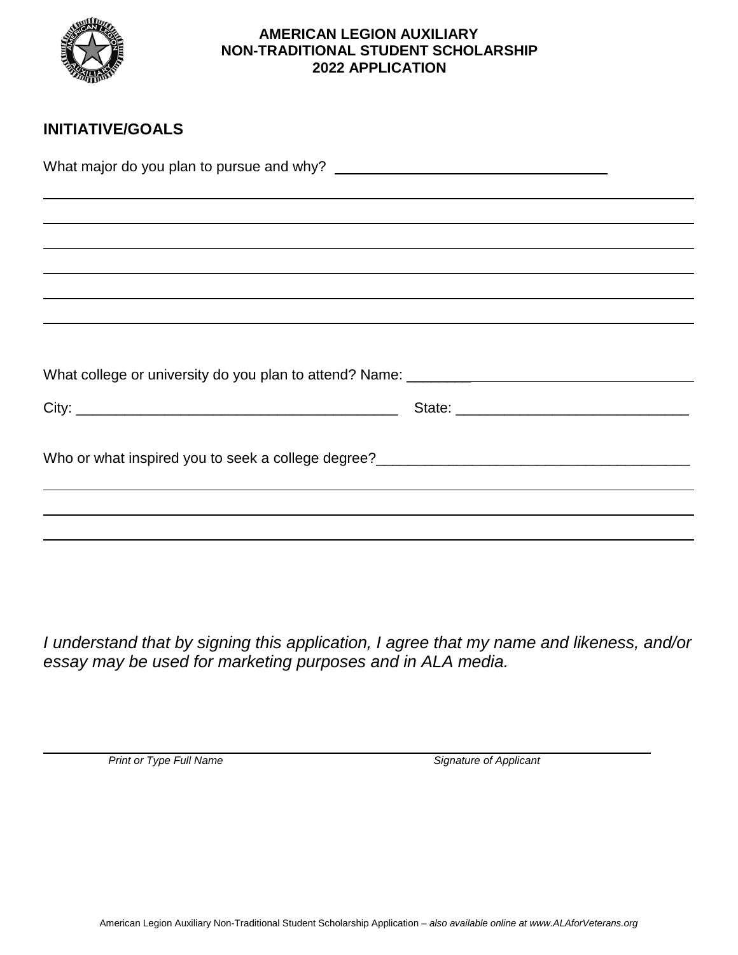

# **INITIATIVE/GOALS**

What major do you plan to pursue and why?

| What college or university do you plan to attend? Name: _________________________ |  |
|-----------------------------------------------------------------------------------|--|
|                                                                                   |  |
|                                                                                   |  |
|                                                                                   |  |
|                                                                                   |  |

*I understand that by signing this application, I agree that my name and likeness, and/or essay may be used for marketing purposes and in ALA media.*

 $\overline{a}$ 

*Print or Type Full Name Signature of Applicant*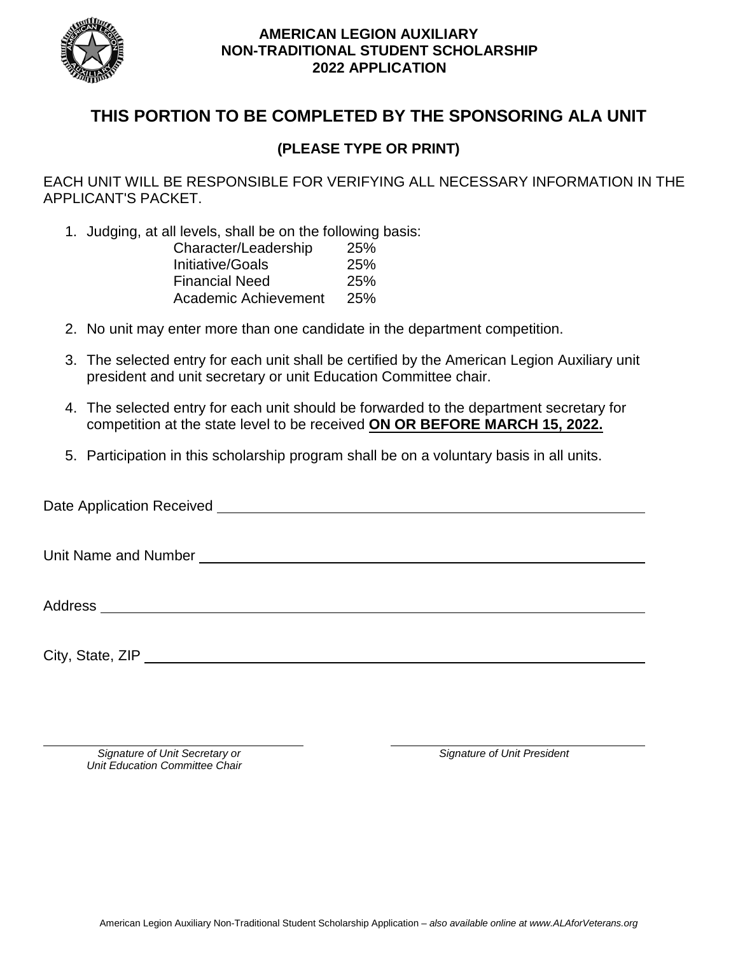

# **THIS PORTION TO BE COMPLETED BY THE SPONSORING ALA UNIT**

## **(PLEASE TYPE OR PRINT)**

EACH UNIT WILL BE RESPONSIBLE FOR VERIFYING ALL NECESSARY INFORMATION IN THE APPLICANT'S PACKET.

1. Judging, at all levels, shall be on the following basis:

| 25%        |
|------------|
| 25%        |
| <b>25%</b> |
| 25%        |
|            |

- 2. No unit may enter more than one candidate in the department competition.
- 3. The selected entry for each unit shall be certified by the American Legion Auxiliary unit president and unit secretary or unit Education Committee chair.
- 4. The selected entry for each unit should be forwarded to the department secretary for competition at the state level to be received **ON OR BEFORE MARCH 15, 2022.**
- 5. Participation in this scholarship program shall be on a voluntary basis in all units.

Date Application Received **Exercise 2006** Unit Name and Number Address City, State, ZIP

*Signature of Unit Secretary or Signature of Unit President Unit Education Committee Chair*